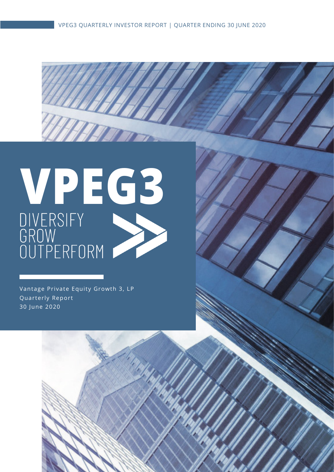# **VPEG3**

W

Vantage Private Equity Growth 3, LP Quarterly Report 30 June 2020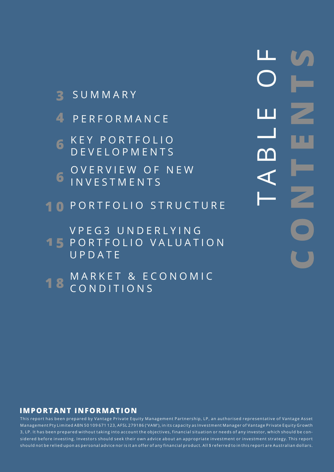- 
- 
- **6** KEY PORTFOLIO DEVELOPMENTS
- OVERVIEW OF NEW **6** INVESTMENTS
- **1 0** PORTFOLIO STRUCTURE
- V P E G 3 U N D E R L Y I N G **15 PORTFOLIO VALUATION**
- **3** SUMMARY<br>
4 PERFORMANCE<br>
6 KEY PORTFOLIC<br>
0 DEVELOPMENTS<br>
6 INVESTMENTS<br>
10 PORTFOLIO STR<br>
YPEG3 UNDERL<br>
15 PORTFOLIO VAL<br>
UPDATE<br>
18 CONDITIONS<br>
18 CONDITIONS MARKET & ECONOMIC UPDATE
	- 18 CONDITIONS

TABLE OF **CONTENTS**  $\mathbb{R}^n$ M

This report has been prepared by Vantage Private Equity Management Partnership, LP, an authorised representative of Vantage Asset Management Pty Limited ABN 50 109 671 123, AFSL 279186 ('VAM'), in its capacity as Investment Manager of Vantage Private Equity Growth 3, LP. It has been prepared without taking into account the objectives, financial situation or needs of any investor, which should be con sidered before investing. Investors should seek their own advice about an appropriate investment or investment strategy. This report should not be relied upon as personal advice nor is it an offer of any financial product. All \$ referred to in this report are Australian dollars.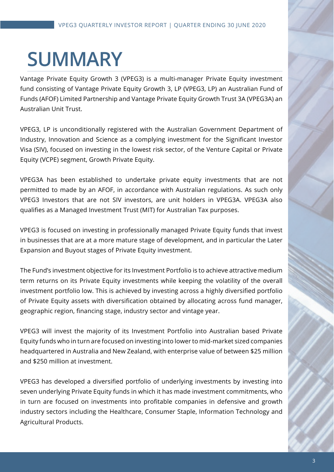# **SUMMARY**

Vantage Private Equity Growth 3 (VPEG3) is a multi-manager Private Equity investment fund consisting of Vantage Private Equity Growth 3, LP (VPEG3, LP) an Australian Fund of Funds (AFOF) Limited Partnership and Vantage Private Equity Growth Trust 3A (VPEG3A) an Australian Unit Trust.

VPEG3, LP is unconditionally registered with the Australian Government Department of Industry, Innovation and Science as a complying investment for the Significant Investor Visa (SIV), focused on investing in the lowest risk sector, of the Venture Capital or Private Equity (VCPE) segment, Growth Private Equity.

VPEG3A has been established to undertake private equity investments that are not permitted to made by an AFOF, in accordance with Australian regulations. As such only VPEG3 Investors that are not SIV investors, are unit holders in VPEG3A. VPEG3A also qualifies as a Managed Investment Trust (MIT) for Australian Tax purposes.

VPEG3 is focused on investing in professionally managed Private Equity funds that invest in businesses that are at a more mature stage of development, and in particular the Later Expansion and Buyout stages of Private Equity investment.

The Fund's investment objective for its Investment Portfolio is to achieve attractive medium term returns on its Private Equity investments while keeping the volatility of the overall investment portfolio low. This is achieved by investing across a highly diversified portfolio of Private Equity assets with diversification obtained by allocating across fund manager, geographic region, financing stage, industry sector and vintage year.

VPEG3 will invest the majority of its Investment Portfolio into Australian based Private Equity funds who in turn are focused on investing into lower to mid-market sized companies headquartered in Australia and New Zealand, with enterprise value of between \$25 million and \$250 million at investment.

VPEG3 has developed a diversified portfolio of underlying investments by investing into seven underlying Private Equity funds in which it has made investment commitments, who in turn are focused on investments into profitable companies in defensive and growth industry sectors including the Healthcare, Consumer Staple, Information Technology and Agricultural Products.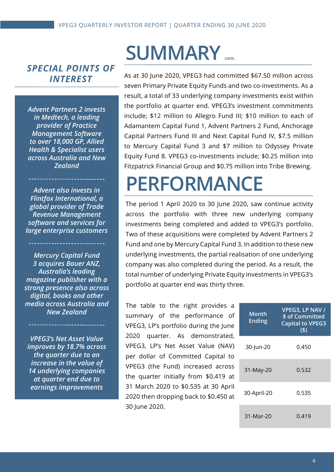#### *SPECIAL POINTS OF INTEREST*

*Advent Partners 2 invests in Medtech, a leading provider of Practice Management Software to over 18,000 GP, Allied Health & Specialist users across Australia and New Zealand*

*Advent also invests in Flintfox International, a global provider of Trade Revenue Management software and services for large enterprise customers*

*Mercury Capital Fund 3 acquires Bauer ANZ, Australia's leading magazine publisher with a strong presence also across digital, books and other media across Australia and New Zealand* 

*VPEG3's Net Asset Value improves by 18.7% across the quarter due to an increase in the value of 14 underlying companies at quarter end due to earnings improvements* 

## **SUMMARY cont.**

As at 30 June 2020, VPEG3 had committed \$67.50 million across seven Primary Private Equity Funds and two co-investments. As a result, a total of 33 underlying company investments exist within the portfolio at quarter end. VPEG3's investment commitments include; \$12 million to Allegro Fund III; \$10 million to each of Adamantem Capital Fund 1, Advent Partners 2 Fund, Anchorage Capital Partners Fund III and Next Capital Fund IV, \$7.5 million to Mercury Capital Fund 3 and \$7 million to Odyssey Private Equity Fund 8. VPEG3 co-investments include; \$0.25 million into Fitzpatrick Financial Group and \$0.75 million into Tribe Brewing.

## **PERFORMANCE**

The period 1 April 2020 to 30 June 2020, saw continue activity across the portfolio with three new underlying company investments being completed and added to VPEG3's portfolio. Two of these acquisitions were completed by Advent Partners 2 Fund and one by Mercury Capital Fund 3. In addition to these new underlying investments, the partial realisation of one underlying company was also completed during the period. As a result, the total number of underlying Private Equity investments in VPEG3's portfolio at quarter end was thirty three.

The table to the right provides a summary of the performance of VPEG3, LP's portfolio during the June 2020 quarter. As demonstrated, VPEG3, LP's Net Asset Value (NAV) per dollar of Committed Capital to VPEG3 (the Fund) increased across the quarter initially from \$0.419 at 31 March 2020 to \$0.535 at 30 April 2020 then dropping back to \$0.450 at 30 June 2020.

| Month<br><b>Ending</b> | VPEG3, LP NAV /<br>\$ of Committed<br><b>Capital to VPEG3</b><br>(5) |
|------------------------|----------------------------------------------------------------------|
| 30-Jun-20              | 0.450                                                                |
| 31-May-20              | 0.532                                                                |
| 30-April-20            | 0.535                                                                |
| $31-Mar-20$            | 0.419                                                                |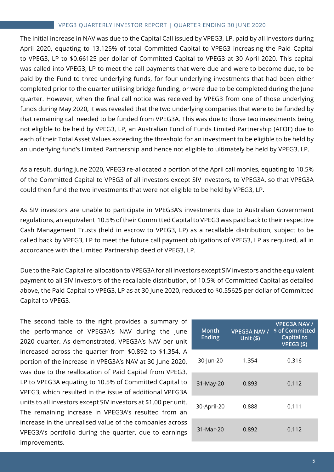#### VPEG3 QUARTERLY INVESTOR REPORT | QUARTER ENDING 30 JUNE 2020

The initial increase in NAV was due to the Capital Call issued by VPEG3, LP, paid by all investors during April 2020, equating to 13.125% of total Committed Capital to VPEG3 increasing the Paid Capital to VPEG3, LP to \$0.66125 per dollar of Committed Capital to VPEG3 at 30 April 2020. This capital was called into VPEG3, LP to meet the call payments that were due and were to become due, to be paid by the Fund to three underlying funds, for four underlying investments that had been either completed prior to the quarter utilising bridge funding, or were due to be completed during the June quarter. However, when the final call notice was received by VPEG3 from one of those underlying funds during May 2020, it was revealed that the two underlying companies that were to be funded by that remaining call needed to be funded from VPEG3A. This was due to those two investments being not eligible to be held by VPEG3, LP, an Australian Fund of Funds Limited Partnership (AFOF) due to each of their Total Asset Values exceeding the threshold for an investment to be eligible to be held by an underlying fund's Limited Partnership and hence not eligible to ultimately be held by VPEG3, LP.

As a result, during June 2020, VPEG3 re-allocated a portion of the April call monies, equating to 10.5% of the Committed Capital to VPEG3 of all investors except SIV investors, to VPEG3A, so that VPEG3A could then fund the two investments that were not eligible to be held by VPEG3, LP.

As SIV investors are unable to participate in VPEG3A's investments due to Australian Government regulations, an equivalent 10.5% of their Committed Capital to VPEG3 was paid back to their respective Cash Management Trusts (held in escrow to VPEG3, LP) as a recallable distribution, subject to be called back by VPEG3, LP to meet the future call payment obligations of VPEG3, LP as required, all in accordance with the Limited Partnership deed of VPEG3, LP.

Due to the Paid Capital re-allocation to VPEG3A for all investors except SIV investors and the equivalent payment to all SIV Investors of the recallable distribution, of 10.5% of Committed Capital as detailed above, the Paid Capital to VPEG3, LP as at 30 June 2020, reduced to \$0.55625 per dollar of Committed Capital to VPEG3.

The second table to the right provides a summary of the performance of VPEG3A's NAV during the June 2020 quarter. As demonstrated, VPEG3A's NAV per unit increased across the quarter from \$0.892 to \$1.354. A portion of the increase in VPEG3A's NAV at 30 June 2020, was due to the reallocation of Paid Capital from VPEG3, LP to VPEG3A equating to 10.5% of Committed Capital to VPEG3, which resulted in the issue of additional VPEG3A units to all investors except SIV investors at \$1.00 per unit. The remaining increase in VPEG3A's resulted from an increase in the unrealised value of the companies across VPEG3A's portfolio during the quarter, due to earnings improvements.

| Month<br><b>Ending</b> | <b>VPEG3A NAV /</b><br>Unit $(\$)$ | <b>VPEG3A NAV /</b><br>\$ of Committed<br>Capital to<br><b>VPEG3 (\$)</b> |
|------------------------|------------------------------------|---------------------------------------------------------------------------|
| 30-Jun-20              | 1.354                              | 0.316                                                                     |
| 31-May-20              | 0.893                              | 0.112                                                                     |
| 30-April-20            | 0.888                              | 0.111                                                                     |
| 31-Mar-20              | 0.892                              | 0.112                                                                     |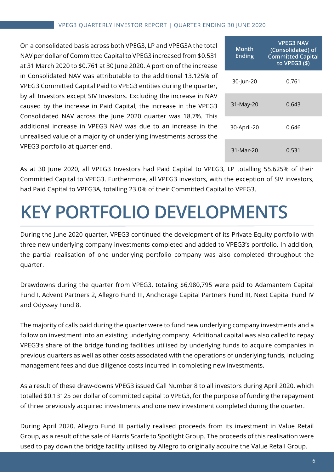On a consolidated basis across both VPEG3, LP and VPEG3A the total NAV per dollar of Committed Capital to VPEG3 increased from \$0.531 at 31 March 2020 to \$0.761 at 30 June 2020. A portion of the increase in Consolidated NAV was attributable to the additional 13.125% of VPEG3 Committed Capital Paid to VPEG3 entities during the quarter, by all Investors except SIV Investors. Excluding the increase in NAV caused by the increase in Paid Capital, the increase in the VPEG3 Consolidated NAV across the June 2020 quarter was 18.7%. This additional increase in VPEG3 NAV was due to an increase in the unrealised value of a majority of underlying investments across the VPEG3 portfolio at quarter end.

| Month<br><b>Ending</b> | <b>VPEG3 NAV</b><br>(Consolidated) of<br><b>Committed Capital</b><br>to VPEG3 (\$) |
|------------------------|------------------------------------------------------------------------------------|
| 30-Jun-20              | 0.761                                                                              |
| 31-May-20              | 0.643                                                                              |
| 30-April-20            | 0.646                                                                              |
| 31-Mar-20              | 0.531                                                                              |

As at 30 June 2020, all VPEG3 Investors had Paid Capital to VPEG3, LP totalling 55.625% of their Committed Capital to VPEG3. Furthermore, all VPEG3 investors, with the exception of SIV investors, had Paid Capital to VPEG3A, totalling 23.0% of their Committed Capital to VPEG3.

## **KEY PORTFOLIO DEVELOPMENTS.**

During the June 2020 quarter, VPEG3 continued the development of its Private Equity portfolio with three new underlying company investments completed and added to VPEG3's portfolio. In addition, the partial realisation of one underlying portfolio company was also completed throughout the quarter.

Drawdowns during the quarter from VPEG3, totaling \$6,980,795 were paid to Adamantem Capital Fund I, Advent Partners 2, Allegro Fund III, Anchorage Capital Partners Fund III, Next Capital Fund IV and Odyssey Fund 8.

The majority of calls paid during the quarter were to fund new underlying company investments and a follow on investment into an existing underlying company. Additional capital was also called to repay VPEG3's share of the bridge funding facilities utilised by underlying funds to acquire companies in previous quarters as well as other costs associated with the operations of underlying funds, including management fees and due diligence costs incurred in completing new investments.

As a result of these draw-downs VPEG3 issued Call Number 8 to all investors during April 2020, which totalled \$0.13125 per dollar of committed capital to VPEG3, for the purpose of funding the repayment of three previously acquired investments and one new investment completed during the quarter.

During April 2020, Allegro Fund III partially realised proceeds from its investment in Value Retail Group, as a result of the sale of Harris Scarfe to Spotlight Group. The proceeds of this realisation were used to pay down the bridge facility utilised by Allegro to originally acquire the Value Retail Group.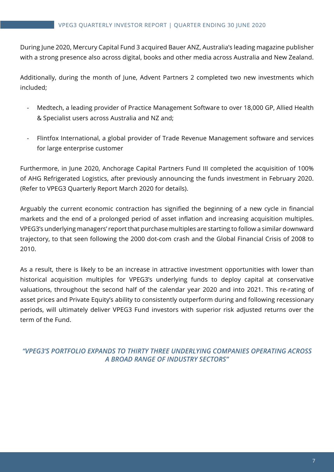During June 2020, Mercury Capital Fund 3 acquired Bauer ANZ, Australia's leading magazine publisher with a strong presence also across digital, books and other media across Australia and New Zealand.

Additionally, during the month of June, Advent Partners 2 completed two new investments which included;

- Medtech, a leading provider of Practice Management Software to over 18,000 GP, Allied Health & Specialist users across Australia and NZ and;
- Flintfox International, a global provider of Trade Revenue Management software and services for large enterprise customer

Furthermore, in June 2020, Anchorage Capital Partners Fund III completed the acquisition of 100% of AHG Refrigerated Logistics, after previously announcing the funds investment in February 2020. (Refer to VPEG3 Quarterly Report March 2020 for details).

Arguably the current economic contraction has signified the beginning of a new cycle in financial markets and the end of a prolonged period of asset inflation and increasing acquisition multiples. VPEG3's underlying managers' report that purchase multiples are starting to follow a similar downward trajectory, to that seen following the 2000 dot-com crash and the Global Financial Crisis of 2008 to 2010.

As a result, there is likely to be an increase in attractive investment opportunities with lower than historical acquisition multiples for VPEG3's underlying funds to deploy capital at conservative valuations, throughout the second half of the calendar year 2020 and into 2021. This re-rating of asset prices and Private Equity's ability to consistently outperform during and following recessionary periods, will ultimately deliver VPEG3 Fund investors with superior risk adjusted returns over the term of the Fund.

*"VPEG3'S PORTFOLIO EXPANDS TO THIRTY THREE UNDERLYING COMPANIES OPERATING ACROSS A BROAD RANGE OF INDUSTRY SECTORS"*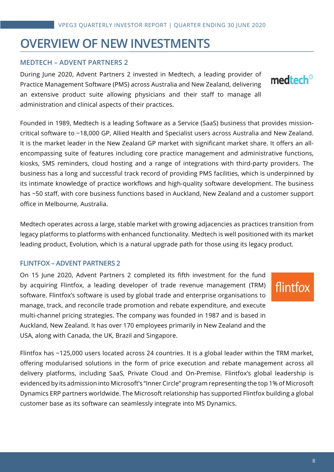### **OVERVIEW OF NEW INVESTMENTS**

#### **MEDTECH – ADVENT PARTNERS 2**

During June 2020, Advent Partners 2 invested in Medtech, a leading provider of Practice Management Software (PMS) across Australia and New Zealand, delivering an extensive product suite allowing physicians and their staff to manage all administration and clinical aspects of their practices.

Founded in 1989, Medtech is a leading Software as a Service (SaaS) business that provides missioncritical software to ~18,000 GP, Allied Health and Specialist users across Australia and New Zealand. It is the market leader in the New Zealand GP market with significant market share. It offers an allencompassing suite of features including core practice management and administrative functions, kiosks, SMS reminders, cloud hosting and a range of integrations with third-party providers. The business has a long and successful track record of providing PMS facilities, which is underpinned by its intimate knowledge of practice workflows and high-quality software development. The business has ~50 staff, with core business functions based in Auckland, New Zealand and a customer support office in Melbourne, Australia.

Medtech operates across a large, stable market with growing adjacencies as practices transition from legacy platforms to platforms with enhanced functionality. Medtech is well positioned with its market leading product, Evolution, which is a natural upgrade path for those using its legacy product.

#### **FLINTFOX – ADVENT PARTNERS 2**

On 15 June 2020, Advent Partners 2 completed its fifth investment for the fund by acquiring Flintfox, a leading developer of trade revenue management (TRM) software. Flintfox's software is used by global trade and enterprise organisations to manage, track, and reconcile trade promotion and rebate expenditure, and execute multi-channel pricing strategies. The company was founded in 1987 and is based in Auckland, New Zealand. It has over 170 employees primarily in New Zealand and the USA, along with Canada, the UK, Brazil and Singapore.

flintfox

Flintfox has ~125,000 users located across 24 countries. It is a global leader within the TRM market, offering modularised solutions in the form of price execution and rebate management across all delivery platforms, including SaaS, Private Cloud and On-Premise. Flintfox's global leadership is evidenced by its admission into Microsoft's "Inner Circle" program representing the top 1% of Microsoft Dynamics ERP partners worldwide. The Microsoft relationship has supported Flintfox building a global customer base as its software can seamlessly integrate into MS Dynamics.

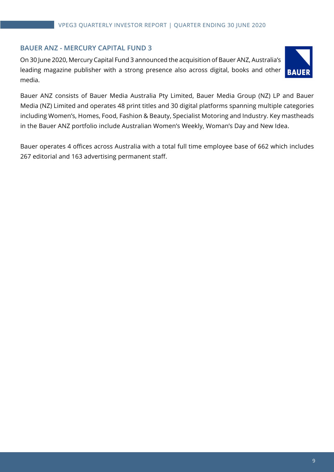#### **BAUER ANZ - MERCURY CAPITAL FUND 3**

On 30 June 2020, Mercury Capital Fund 3 announced the acquisition of Bauer ANZ, Australia's leading magazine publisher with a strong presence also across digital, books and other media.



Bauer ANZ consists of Bauer Media Australia Pty Limited, Bauer Media Group (NZ) LP and Bauer Media (NZ) Limited and operates 48 print titles and 30 digital platforms spanning multiple categories including Women's, Homes, Food, Fashion & Beauty, Specialist Motoring and Industry. Key mastheads in the Bauer ANZ portfolio include Australian Women's Weekly, Woman's Day and New Idea.

Bauer operates 4 offices across Australia with a total full time employee base of 662 which includes 267 editorial and 163 advertising permanent staff.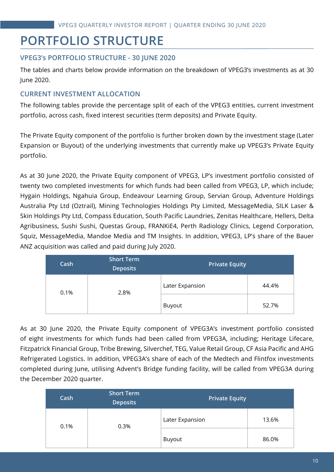## **PORTFOLIO STRUCTURE**

#### **VPEG3's PORTFOLIO STRUCTURE - 30 JUNE 2020**

The tables and charts below provide information on the breakdown of VPEG3's investments as at 30 June 2020.

#### **CURRENT INVESTMENT ALLOCATION**

The following tables provide the percentage split of each of the VPEG3 entities, current investment portfolio, across cash, fixed interest securities (term deposits) and Private Equity.

The Private Equity component of the portfolio is further broken down by the investment stage (Later Expansion or Buyout) of the underlying investments that currently make up VPEG3's Private Equity portfolio.

As at 30 June 2020, the Private Equity component of VPEG3, LP's investment portfolio consisted of twenty two completed investments for which funds had been called from VPEG3, LP, which include; Hygain Holdings, Ngahuia Group, Endeavour Learning Group, Servian Group, Adventure Holdings Australia Pty Ltd (Oztrail), Mining Technologies Holdings Pty Limited, MessageMedia, SILK Laser & Skin Holdings Pty Ltd, Compass Education, South Pacific Laundries, Zenitas Healthcare, Hellers, Delta Agribusiness, Sushi Sushi, Questas Group, FRANKiE4, Perth Radiology Clinics, Legend Corporation, Squiz, MessageMedia, Mandoe Media and TM Insights. In addition, VPEG3, LP's share of the Bauer ANZ acquisition was called and paid during July 2020.

| Cash         | <b>Short Term</b><br><b>Deposits</b> | Private Equity  |       |  |
|--------------|--------------------------------------|-----------------|-------|--|
| 0.1%<br>2.8% |                                      | Later Expansion | 44.4% |  |
|              |                                      | Buyout          | 52.7% |  |

As at 30 June 2020, the Private Equity component of VPEG3A's investment portfolio consisted of eight investments for which funds had been called from VPEG3A, including; Heritage Lifecare, Fitzpatrick Financial Group, Tribe Brewing, Silverchef, TEG, Value Retail Group, CF Asia Pacific and AHG Refrigerated Logistics. In addition, VPEG3A's share of each of the Medtech and Flintfox investments completed during June, utilising Advent's Bridge funding facility, will be called from VPEG3A during the December 2020 quarter.

| Cash | <b>Short Term</b><br><b>Deposits</b> | <b>Private Equity</b> |       |  |
|------|--------------------------------------|-----------------------|-------|--|
| 0.1% | 0.3%                                 | Later Expansion       | 13.6% |  |
|      |                                      | Buyout                | 86.0% |  |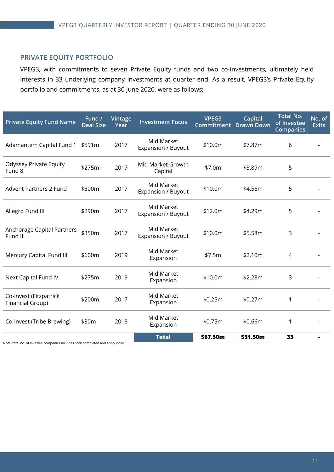#### **PRIVATE EQUITY PORTFOLIO**

VPEG3, with commitments to seven Private Equity funds and two co-investments, ultimately held interests in 33 underlying company investments at quarter end. As a result, VPEG3's Private Equity portfolio and commitments, as at 30 June 2020, were as follows;

| <b>Private Equity Fund Name</b>            | Fund /<br><b>Deal Size</b> | Vintage<br>Year | <b>Investment Focus</b>          | VPEG3<br>Commitment | Capital<br><b>Drawn Down</b> | <b>Total No.</b><br>of Investee<br><b>Companies</b> | No. of<br><b>Exits</b> |
|--------------------------------------------|----------------------------|-----------------|----------------------------------|---------------------|------------------------------|-----------------------------------------------------|------------------------|
| Adamantem Capital Fund 1                   | \$591m                     | 2017            | Mid Market<br>Expansion / Buyout | \$10.0m             | \$7.87m                      | 6                                                   |                        |
| <b>Odyssey Private Equity</b><br>Fund 8    | \$275m                     | 2017            | Mid Market Growth<br>Capital     | \$7.0m              | \$3.89m                      | 5                                                   |                        |
| <b>Advent Partners 2 Fund</b>              | \$300m                     | 2017            | Mid Market<br>Expansion / Buyout | \$10.0m             | \$4.56m                      | 5                                                   |                        |
| Allegro Fund III                           | \$290m                     | 2017            | Mid Market<br>Expansion / Buyout | \$12.0m             | \$4.29m                      | 5                                                   |                        |
| Anchorage Capital Partners<br>Fund III     | \$350m                     | 2017            | Mid Market<br>Expansion / Buyout | \$10.0m             | \$5.58m                      | 3                                                   |                        |
| Mercury Capital Fund III                   | \$600m                     | 2019            | Mid Market<br>Expansion          | \$7.5m              | \$2.10m                      | 4                                                   |                        |
| Next Capital Fund IV                       | \$275m                     | 2019            | Mid Market<br>Expansion          | \$10.0m             | \$2.28m                      | 3                                                   |                        |
| Co-invest (Fitzpatrick<br>Financial Group) | \$200m                     | 2017            | Mid Market<br>Expansion          | \$0.25m             | \$0.27m                      | 1                                                   |                        |
| Co-invest (Tribe Brewing)                  | \$30m                      | 2018            | Mid Market<br>Expansion          | \$0.75m             | \$0.66m                      | 1                                                   |                        |
|                                            |                            |                 | <b>Total</b>                     | \$67.50m            | \$31.50m                     | 33                                                  |                        |

Note; total no. of investee companies includes both completed and announced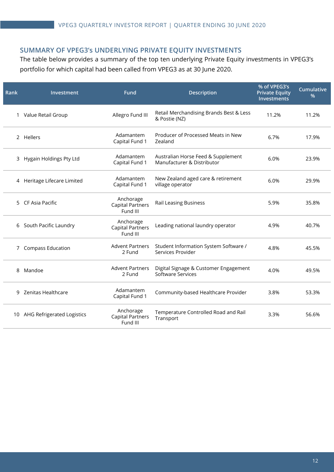#### **SUMMARY OF VPEG3's UNDERLYING PRIVATE EQUITY INVESTMENTS**

The table below provides a summary of the top ten underlying Private Equity investments in VPEG3's portfolio for which capital had been called from VPEG3 as at 30 June 2020.

| Rank | Investment                    | Fund                                             | <b>Description</b>                                                | % of VPEG3's<br><b>Private Equity</b><br>Investments | <b>Cumulative</b><br>% |
|------|-------------------------------|--------------------------------------------------|-------------------------------------------------------------------|------------------------------------------------------|------------------------|
|      | 1 Value Retail Group          | Allegro Fund III                                 | Retail Merchandising Brands Best & Less<br>& Postie (NZ)          | 11.2%                                                | 11.2%                  |
|      | 2 Hellers                     | Adamantem<br>Capital Fund 1                      | Producer of Processed Meats in New<br>Zealand                     | 6.7%                                                 | 17.9%                  |
| 3.   | Hygain Holdings Pty Ltd       | Adamantem<br>Capital Fund 1                      | Australian Horse Feed & Supplement<br>Manufacturer & Distributor  | 6.0%                                                 | 23.9%                  |
| 4    | Heritage Lifecare Limited     | Adamantem<br>Capital Fund 1                      | New Zealand aged care & retirement<br>village operator            | 6.0%                                                 | 29.9%                  |
| 5.   | CF Asia Pacific               | Anchorage<br><b>Capital Partners</b><br>Fund III | <b>Rail Leasing Business</b>                                      | 5.9%                                                 | 35.8%                  |
| 6    | South Pacific Laundry         | Anchorage<br><b>Capital Partners</b><br>Fund III | Leading national laundry operator                                 | 4.9%                                                 | 40.7%                  |
| 7    | <b>Compass Education</b>      | <b>Advent Partners</b><br>2 Fund                 | Student Information System Software /<br>Services Provider        | 4.8%                                                 | 45.5%                  |
| 8    | Mandoe                        | <b>Advent Partners</b><br>2 Fund                 | Digital Signage & Customer Engagement<br><b>Software Services</b> | 4.0%                                                 | 49.5%                  |
| 9    | Zenitas Healthcare            | Adamantem<br>Capital Fund 1                      | Community-based Healthcare Provider                               | 3.8%                                                 | 53.3%                  |
|      | 10 AHG Refrigerated Logistics | Anchorage<br><b>Capital Partners</b><br>Fund III | Temperature Controlled Road and Rail<br>Transport                 | 3.3%                                                 | 56.6%                  |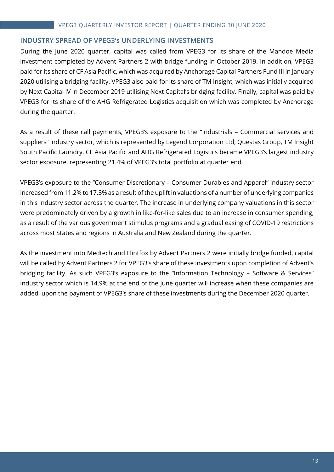#### **INDUSTRY SPREAD OF VPEG3's UNDERLYING INVESTMENTS**

During the June 2020 quarter, capital was called from VPEG3 for its share of the Mandoe Media investment completed by Advent Partners 2 with bridge funding in October 2019. In addition, VPEG3 paid for its share of CF Asia Pacific, which was acquired by Anchorage Capital Partners Fund III in January 2020 utilising a bridging facility. VPEG3 also paid for its share of TM Insight, which was initially acquired by Next Capital IV in December 2019 utilising Next Capital's bridging facility. Finally, capital was paid by VPEG3 for its share of the AHG Refrigerated Logistics acquisition which was completed by Anchorage during the quarter.

As a result of these call payments, VPEG3's exposure to the "Industrials – Commercial services and suppliers" industry sector, which is represented by Legend Corporation Ltd, Questas Group, TM Insight South Pacific Laundry, CF Asia Pacific and AHG Refrigerated Logistics became VPEG3's largest industry sector exposure, representing 21.4% of VPEG3's total portfolio at quarter end.

VPEG3's exposure to the "Consumer Discretionary – Consumer Durables and Apparel" industry sector increased from 11.2% to 17.3% as a result of the uplift in valuations of a number of underlying companies in this industry sector across the quarter. The increase in underlying company valuations in this sector were predominately driven by a growth in like-for-like sales due to an increase in consumer spending, as a result of the various government stimulus programs and a gradual easing of COVID-19 restrictions across most States and regions in Australia and New Zealand during the quarter.

As the investment into Medtech and Flintfox by Advent Partners 2 were initially bridge funded, capital will be called by Advent Partners 2 for VPEG3's share of these investments upon completion of Advent's bridging facility. As such VPEG3's exposure to the "Information Technology – Software & Services" industry sector which is 14.9% at the end of the June quarter will increase when these companies are added, upon the payment of VPEG3's share of these investments during the December 2020 quarter.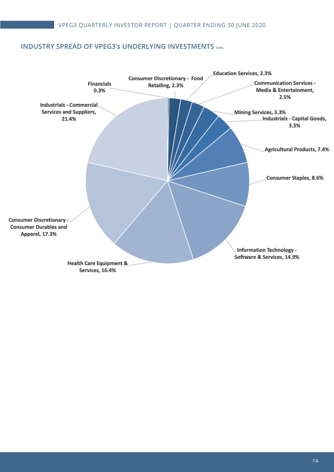#### **INDUSTRY SPREAD OF VPEG3's UNDERLYING INVESTMENTS cont.**

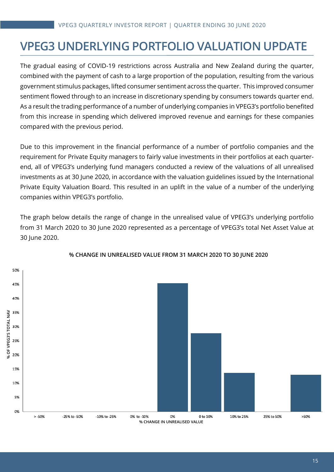## **VPEG3 UNDERLYING PORTFOLIO VALUATION UPDATE**

The gradual easing of COVID-19 restrictions across Australia and New Zealand during the quarter, combined with the payment of cash to a large proportion of the population, resulting from the various government stimulus packages, lifted consumer sentiment across the quarter. This improved consumer sentiment flowed through to an increase in discretionary spending by consumers towards quarter end. As a result the trading performance of a number of underlying companies in VPEG3's portfolio benefited from this increase in spending which delivered improved revenue and earnings for these companies compared with the previous period.

Due to this improvement in the financial performance of a number of portfolio companies and the requirement for Private Equity managers to fairly value investments in their portfolios at each quarterend, all of VPEG3's underlying fund managers conducted a review of the valuations of all unrealised investments as at 30 June 2020, in accordance with the valuation guidelines issued by the International Private Equity Valuation Board. This resulted in an uplift in the value of a number of the underlying companies within VPEG3's portfolio.

The graph below details the range of change in the unrealised value of VPEG3's underlying portfolio from 31 March 2020 to 30 June 2020 represented as a percentage of VPEG3's total Net Asset Value at 30 June 2020.



#### **% CHANGE IN UNREALISED VALUE FROM 31 MARCH 2020 TO 30 JUNE 2020**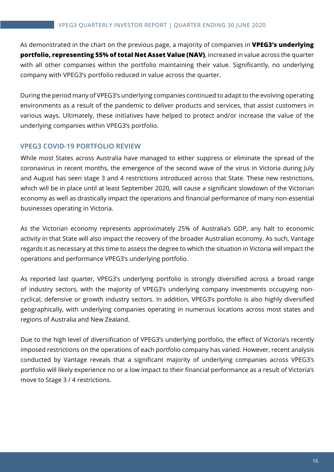As demonstrated in the chart on the previous page, a majority of companies in **VPEG3's underlying portfolio, representing 55% of total Net Asset Value (NAV)**, increased in value across the quarter with all other companies within the portfolio maintaining their value. Significantly, no underlying company with VPEG3's portfolio reduced in value across the quarter.

During the period many of VPEG3's underlying companies continued to adapt to the evolving operating environments as a result of the pandemic to deliver products and services, that assist customers in various ways. Ultimately, these initiatives have helped to protect and/or increase the value of the underlying companies within VPEG3's portfolio.

#### **VPEG3 COVID-19 PORTFOLIO REVIEW**

While most States across Australia have managed to either suppress or eliminate the spread of the coronavirus in recent months, the emergence of the second wave of the virus in Victoria during July and August has seen stage 3 and 4 restrictions introduced across that State. These new restrictions, which will be in place until at least September 2020, will cause a significant slowdown of the Victorian economy as well as drastically impact the operations and financial performance of many non-essential businesses operating in Victoria.

As the Victorian economy represents approximately 25% of Australia's GDP, any halt to economic activity in that State will also impact the recovery of the broader Australian economy. As such, Vantage regards it as necessary at this time to assess the degree to which the situation in Victoria will impact the operations and performance VPEG3's underlying portfolio.

As reported last quarter, VPEG3's underlying portfolio is strongly diversified across a broad range of industry sectors, with the majority of VPEG3's underlying company investments occupying noncyclical, defensive or growth industry sectors. In addition, VPEG3's portfolio is also highly diversified geographically, with underlying companies operating in numerous locations across most states and regions of Australia and New Zealand.

Due to the high level of diversification of VPEG3's underlying portfolio, the effect of Victoria's recently imposed restrictions on the operations of each portfolio company has varied. However, recent analysis conducted by Vantage reveals that a significant majority of underlying companies across VPEG3's portfolio will likely experience no or a low impact to their financial performance as a result of Victoria's move to Stage 3 / 4 restrictions.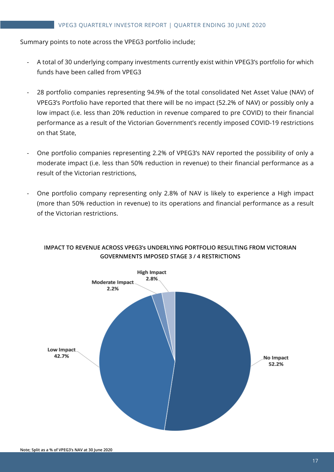#### Summary points to note across the VPEG3 portfolio include;

- A total of 30 underlying company investments currently exist within VPEG3's portfolio for which funds have been called from VPEG3
- 28 portfolio companies representing 94.9% of the total consolidated Net Asset Value (NAV) of VPEG3's Portfolio have reported that there will be no impact (52.2% of NAV) or possibly only a low impact (i.e. less than 20% reduction in revenue compared to pre COVID) to their financial performance as a result of the Victorian Government's recently imposed COVID-19 restrictions on that State,
- One portfolio companies representing 2.2% of VPEG3's NAV reported the possibility of only a moderate impact (i.e. less than 50% reduction in revenue) to their financial performance as a result of the Victorian restrictions,
- One portfolio company representing only 2.8% of NAV is likely to experience a High impact (more than 50% reduction in revenue) to its operations and financial performance as a result of the Victorian restrictions.



#### **IMPACT TO REVENUE ACROSS VPEG3's UNDERLYING PORTFOLIO RESULTING FROM VICTORIAN GOVERNMENTS IMPOSED STAGE 3 / 4 RESTRICTIONS**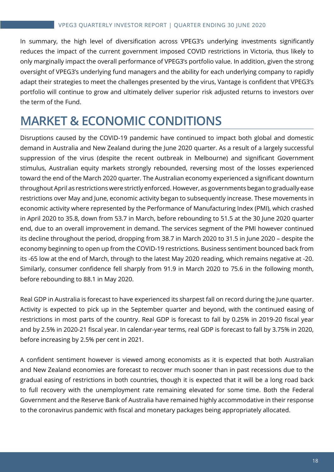In summary, the high level of diversification across VPEG3's underlying investments significantly reduces the impact of the current government imposed COVID restrictions in Victoria, thus likely to only marginally impact the overall performance of VPEG3's portfolio value. In addition, given the strong oversight of VPEG3's underlying fund managers and the ability for each underlying company to rapidly adapt their strategies to meet the challenges presented by the virus, Vantage is confident that VPEG3's portfolio will continue to grow and ultimately deliver superior risk adjusted returns to investors over the term of the Fund.

## **MARKET & ECONOMIC CONDITIONS**

Disruptions caused by the COVID-19 pandemic have continued to impact both global and domestic demand in Australia and New Zealand during the June 2020 quarter. As a result of a largely successful suppression of the virus (despite the recent outbreak in Melbourne) and significant Government stimulus, Australian equity markets strongly rebounded, reversing most of the losses experienced toward the end of the March 2020 quarter. The Australian economy experienced a significant downturn throughout April as restrictions were strictly enforced. However, as governments began to gradually ease restrictions over May and June, economic activity began to subsequently increase. These movements in economic activity where represented by the Performance of Manufacturing Index (PMI), which crashed in April 2020 to 35.8, down from 53.7 in March, before rebounding to 51.5 at the 30 June 2020 quarter end, due to an overall improvement in demand. The services segment of the PMI however continued its decline throughout the period, dropping from 38.7 in March 2020 to 31.5 in June 2020 – despite the economy beginning to open up from the COVID-19 restrictions. Business sentiment bounced back from its -65 low at the end of March, through to the latest May 2020 reading, which remains negative at -20. Similarly, consumer confidence fell sharply from 91.9 in March 2020 to 75.6 in the following month, before rebounding to 88.1 in May 2020.

Real GDP in Australia is forecast to have experienced its sharpest fall on record during the June quarter. Activity is expected to pick up in the September quarter and beyond, with the continued easing of restrictions in most parts of the country. Real GDP is forecast to fall by 0.25% in 2019-20 fiscal year and by 2.5% in 2020-21 fiscal year. In calendar-year terms, real GDP is forecast to fall by 3.75% in 2020, before increasing by 2.5% per cent in 2021.

A confident sentiment however is viewed among economists as it is expected that both Australian and New Zealand economies are forecast to recover much sooner than in past recessions due to the gradual easing of restrictions in both countries, though it is expected that it will be a long road back to full recovery with the unemployment rate remaining elevated for some time. Both the Federal Government and the Reserve Bank of Australia have remained highly accommodative in their response to the coronavirus pandemic with fiscal and monetary packages being appropriately allocated.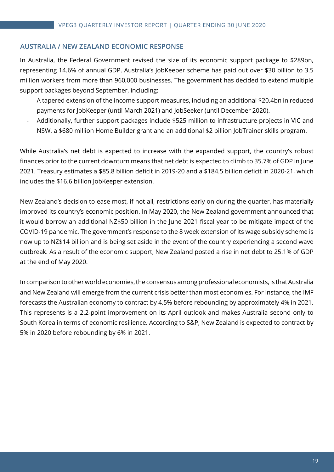#### **AUSTRALIA / NEW ZEALAND ECONOMIC RESPONSE**

In Australia, the Federal Government revised the size of its economic support package to \$289bn, representing 14.6% of annual GDP. Australia's JobKeeper scheme has paid out over \$30 billion to 3.5 million workers from more than 960,000 businesses. The government has decided to extend multiple support packages beyond September, including:

- A tapered extension of the income support measures, including an additional \$20.4bn in reduced payments for JobKeeper (until March 2021) and JobSeeker (until December 2020).
- Additionally, further support packages include \$525 million to infrastructure projects in VIC and NSW, a \$680 million Home Builder grant and an additional \$2 billion JobTrainer skills program.

While Australia's net debt is expected to increase with the expanded support, the country's robust finances prior to the current downturn means that net debt is expected to climb to 35.7% of GDP in June 2021. Treasury estimates a \$85.8 billion deficit in 2019-20 and a \$184.5 billion deficit in 2020-21, which includes the \$16.6 billion JobKeeper extension.

New Zealand's decision to ease most, if not all, restrictions early on during the quarter, has materially improved its country's economic position. In May 2020, the New Zealand government announced that it would borrow an additional NZ\$50 billion in the June 2021 fiscal year to be mitigate impact of the COVID-19 pandemic. The government's response to the 8 week extension of its wage subsidy scheme is now up to NZ\$14 billion and is being set aside in the event of the country experiencing a second wave outbreak. As a result of the economic support, New Zealand posted a rise in net debt to 25.1% of GDP at the end of May 2020.

In comparison to other world economies, the consensus among professional economists, is that Australia and New Zealand will emerge from the current crisis better than most economies. For instance, the IMF forecasts the Australian economy to contract by 4.5% before rebounding by approximately 4% in 2021. This represents is a 2.2-point improvement on its April outlook and makes Australia second only to South Korea in terms of economic resilience. According to S&P, New Zealand is expected to contract by 5% in 2020 before rebounding by 6% in 2021.